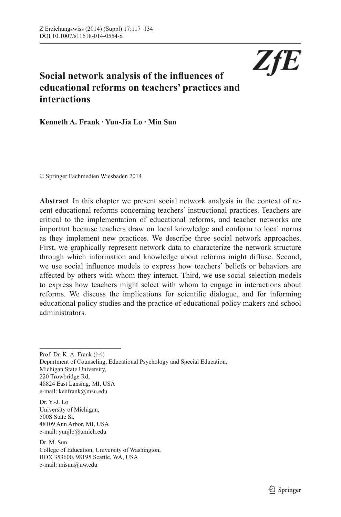

# **Social network analysis of the influences of educational reforms on teachers' practices and interactions**

**Kenneth A. Frank · Yun-Jia Lo · Min Sun**

© Springer Fachmedien Wiesbaden 2014

**Abstract** In this chapter we present social network analysis in the context of recent educational reforms concerning teachers' instructional practices. Teachers are critical to the implementation of educational reforms, and teacher networks are important because teachers draw on local knowledge and conform to local norms as they implement new practices. We describe three social network approaches. First, we graphically represent network data to characterize the network structure through which information and knowledge about reforms might diffuse. Second, we use social influence models to express how teachers' beliefs or behaviors are affected by others with whom they interact. Third, we use social selection models to express how teachers might select with whom to engage in interactions about reforms. We discuss the implications for scientific dialogue, and for informing educational policy studies and the practice of educational policy makers and school administrators.

Prof. Dr. K. A. Frank  $(\boxtimes)$ Department of Counseling, Educational Psychology and Special Education, Michigan State University, 220 Trowbridge Rd, 48824 East Lansing, MI, USA e-mail: kenfrank@msu.edu

Dr. Y.-J. Lo University of Michigan, 500S State St, 48109 Ann Arbor, MI, USA e-mail: yunjlo@umich.edu

Dr. M. Sun College of Education, University of Washington, BOX 353600, 98195 Seattle, WA, USA e-mail: [misun@uw.edu](mailto:misun@uw.edu)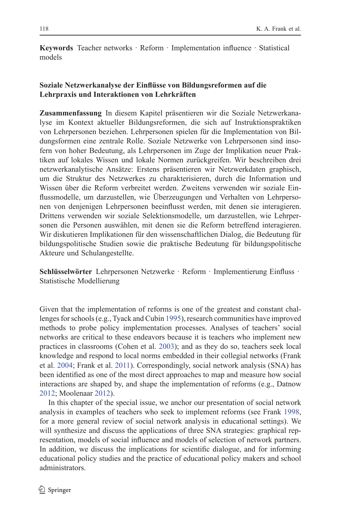**Keywords** Teacher networks · Reform · Implementation influence · Statistical models

# **Soziale Netzwerkanalyse der Einflüsse von Bildungsreformen auf die Lehrpraxis und Interaktionen von Lehrkräften**

**Zusammenfassung** In diesem Kapitel präsentieren wir die Soziale Netzwerkanalyse im Kontext aktueller Bildungsreformen, die sich auf Instruktionspraktiken von Lehrpersonen beziehen. Lehrpersonen spielen für die Implementation von Bildungsformen eine zentrale Rolle. Soziale Netzwerke von Lehrpersonen sind insofern von hoher Bedeutung, als Lehrpersonen im Zuge der Implikation neuer Praktiken auf lokales Wissen und lokale Normen zurückgreifen. Wir beschreiben drei netzwerkanalytische Ansätze: Erstens präsentieren wir Netzwerkdaten graphisch, um die Struktur des Netzwerkes zu charakterisieren, durch die Information und Wissen über die Reform verbreitet werden. Zweitens verwenden wir soziale Einflussmodelle, um darzustellen, wie Überzeugungen und Verhalten von Lehrpersonen von denjenigen Lehrpersonen beeinflusst werden, mit denen sie interagieren. Drittens verwenden wir soziale Selektionsmodelle, um darzustellen, wie Lehrpersonen die Personen auswählen, mit denen sie die Reform betreffend interagieren. Wir diskutieren Implikationen für den wissenschaftlichen Dialog, die Bedeutung für bildungspolitische Studien sowie die praktische Bedeutung für bildungspolitische Akteure und Schulangestellte.

**Schlüsselwörter** Lehrpersonen Netzwerke · Reform · Implementierung Einfluss · Statistische Modellierung

Given that the implementation of reforms is one of the greatest and constant challenges for schools (e.g., Tyack and Cubin [1995](#page-17-0)), research communities have improved methods to probe policy implementation processes. Analyses of teachers' social networks are critical to these endeavors because it is teachers who implement new practices in classrooms (Cohen et al. [2003\)](#page-15-0); and as they do so, teachers seek local knowledge and respond to local norms embedded in their collegial networks (Frank et al. [2004;](#page-15-1) Frank et al. [2011\)](#page-16-0). Correspondingly, social network analysis (SNA) has been identified as one of the most direct approaches to map and measure how social interactions are shaped by, and shape the implementation of reforms (e.g., Datnow [2012](#page-15-2); Moolenaar [2012](#page-16-1)).

In this chapter of the special issue, we anchor our presentation of social network analysis in examples of teachers who seek to implement reforms (see Frank [1998,](#page-15-3) for a more general review of social network analysis in educational settings). We will synthesize and discuss the applications of three SNA strategies: graphical representation, models of social influence and models of selection of network partners. In addition, we discuss the implications for scientific dialogue, and for informing educational policy studies and the practice of educational policy makers and school administrators.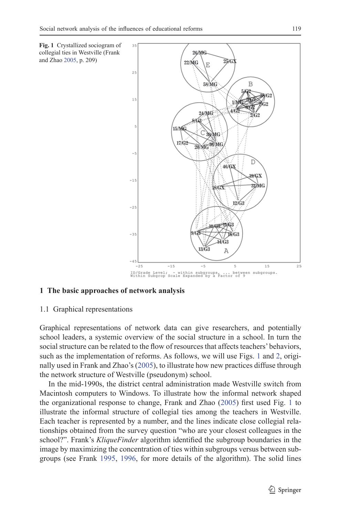<span id="page-2-0"></span>

#### **1 The basic approaches of network analysis**

#### 1.1 Graphical representations

Graphical representations of network data can give researchers, and potentially school leaders, a systemic overview of the social structure in a school. In turn the social structure can be related to the flow of resources that affects teachers' behaviors, such as the implementation of reforms. As follows, we will use Figs. [1](#page-2-0) and [2,](#page-3-0) originally used in Frank and Zhao's ([2005\)](#page-15-4), to illustrate how new practices diffuse through the network structure of Westville (pseudonym) school.

In the mid-1990s, the district central administration made Westville switch from Macintosh computers to Windows. To illustrate how the informal network shaped the organizational response to change, Frank and Zhao [\(2005](#page-15-4)) first used Fig. [1](#page-2-0) to illustrate the informal structure of collegial ties among the teachers in Westville. Each teacher is represented by a number, and the lines indicate close collegial relationships obtained from the survey question "who are your closest colleagues in the school?". Frank's *KliqueFinder* algorithm identified the subgroup boundaries in the image by maximizing the concentration of ties within subgroups versus between subgroups (see Frank [1995,](#page-15-5) [1996](#page-15-6), for more details of the algorithm). The solid lines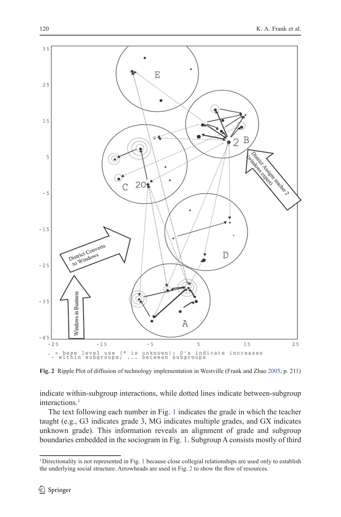

<span id="page-3-0"></span>**Fig. 2** Ripple Plot of diffusion of technology implementation in Westville (Frank and Zhao [2005,](#page-15-4) p. 211)

indicate within-subgroup interactions, while dotted lines indicate between-subgroup interactions.<sup>1</sup>

The text following each number in Fig. [1](#page-2-0) indicates the grade in which the teacher taught (e.g., G3 indicates grade 3, MG indicates multiple grades, and GX indicates unknown grade). This information reveals an alignment of grade and subgroup boundaries embedded in the sociogram in Fig. [1.](#page-2-0) Subgroup A consists mostly of third

<sup>1</sup>Directionality is not represented in Fig. [1](#page-2-0) because close collegial relationships are used only to establish the underlying social structure. Arrowheads are used in Fig. [2](#page-3-0) to show the flow of resources.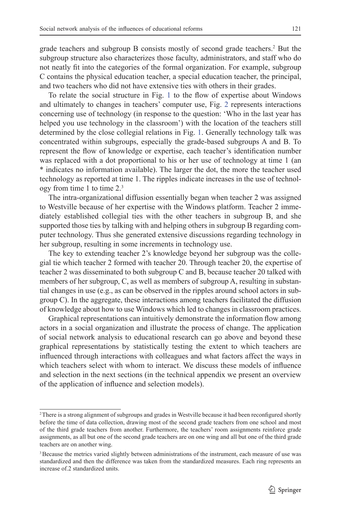grade teachers and subgroup B consists mostly of second grade teachers.2 But the subgroup structure also characterizes those faculty, administrators, and staff who do not neatly fit into the categories of the formal organization. For example, subgroup C contains the physical education teacher, a special education teacher, the principal, and two teachers who did not have extensive ties with others in their grades.

To relate the social structure in Fig. [1](#page-2-0) to the flow of expertise about Windows and ultimately to changes in teachers' computer use, Fig. [2](#page-3-0) represents interactions concerning use of technology (in response to the question: 'Who in the last year has helped you use technology in the classroom') with the location of the teachers still determined by the close collegial relations in Fig. [1.](#page-2-0) Generally technology talk was concentrated within subgroups, especially the grade-based subgroups A and B. To represent the flow of knowledge or expertise, each teacher's identification number was replaced with a dot proportional to his or her use of technology at time 1 (an \* indicates no information available). The larger the dot, the more the teacher used technology as reported at time 1. The ripples indicate increases in the use of technology from time 1 to time 2.3

The intra-organizational diffusion essentially began when teacher 2 was assigned to Westville because of her expertise with the Windows platform. Teacher 2 immediately established collegial ties with the other teachers in subgroup B, and she supported those ties by talking with and helping others in subgroup B regarding computer technology. Thus she generated extensive discussions regarding technology in her subgroup, resulting in some increments in technology use.

The key to extending teacher 2's knowledge beyond her subgroup was the collegial tie which teacher 2 formed with teacher 20. Through teacher 20, the expertise of teacher 2 was disseminated to both subgroup C and B, because teacher 20 talked with members of her subgroup, C, as well as members of subgroup A, resulting in substantial changes in use (e.g., as can be observed in the ripples around school actors in subgroup C). In the aggregate, these interactions among teachers facilitated the diffusion of knowledge about how to use Windows which led to changes in classroom practices.

Graphical representations can intuitively demonstrate the information flow among actors in a social organization and illustrate the process of change. The application of social network analysis to educational research can go above and beyond these graphical representations by statistically testing the extent to which teachers are influenced through interactions with colleagues and what factors affect the ways in which teachers select with whom to interact. We discuss these models of influence and selection in the next sections (in the technical appendix we present an overview of the application of influence and selection models).

<sup>&</sup>lt;sup>2</sup>There is a strong alignment of subgroups and grades in Westville because it had been reconfigured shortly before the time of data collection, drawing most of the second grade teachers from one school and most of the third grade teachers from another. Furthermore, the teachers' room assignments reinforce grade assignments, as all but one of the second grade teachers are on one wing and all but one of the third grade teachers are on another wing.

<sup>&</sup>lt;sup>3</sup> Because the metrics varied slightly between administrations of the instrument, each measure of use was standardized and then the difference was taken from the standardized measures. Each ring represents an increase of.2 standardized units.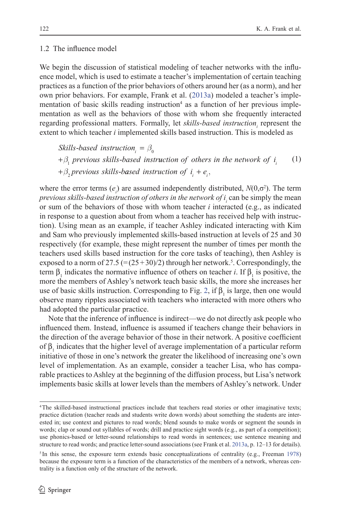# 1.2 The influence model

We begin the discussion of statistical modeling of teacher networks with the influence model, which is used to estimate a teacher's implementation of certain teaching practices as a function of the prior behaviors of others around her (as a norm), and her own prior behaviors. For example, Frank et al. [\(2013a\)](#page-16-2) modeled a teacher's implementation of basic skills reading instruction<sup>4</sup> as a function of her previous implementation as well as the behaviors of those with whom she frequently interacted regarding professional matters. Formally, let *skills-based instruction*, represent the extent to which teacher *i* implemented skills based instruction. This is modeled as

(1)  $S$ *kills*-based instruction<sub>i</sub> =  $\beta_0$ *+β*<sub>1</sub> *previous skills-based instruction of others in the network of i<sub>i</sub>*  $+\beta_2$  previous skills-based instruction of  $i_i + e_i$ ,

where the error terms  $(e_i)$  are assumed independently distributed,  $N(0,\sigma^2)$ . The term *previous skills-based instruction of others in the network of i<sub>i</sub> can be simply the mean* or sum of the behaviors of those with whom teacher *i* interacted (e.g., as indicated in response to a question about from whom a teacher has received help with instruction). Using mean as an example, if teacher Ashley indicated interacting with Kim and Sam who previously implemented skills-based instruction at levels of 25 and 30 respectively (for example, these might represent the number of times per month the teachers used skills based instruction for the core tasks of teaching), then Ashley is exposed to a norm of 27.5 (= $(25+30)/2$ ) through her network.<sup>5</sup>. Correspondingly, the term  $\beta_1$  indicates the normative influence of others on teacher *i*. If  $\beta_1$  is positive, the more the members of Ashley's network teach basic skills, the more she increases her use of basic skills instruction. Corresponding to Fig. [2,](#page-3-0) if  $\beta_1$  is large, then one would observe many ripples associated with teachers who interacted with more others who had adopted the particular practice.

Note that the inference of influence is indirect—we do not directly ask people who influenced them. Instead, influence is assumed if teachers change their behaviors in the direction of the average behavior of those in their network. A positive coefficient of  $\beta_1$  indicates that the higher level of average implementation of a particular reform initiative of those in one's network the greater the likelihood of increasing one's own level of implementation. As an example, consider a teacher Lisa, who has comparable practices to Ashley at the beginning of the diffusion process, but Lisa's network implements basic skills at lower levels than the members of Ashley's network. Under

<sup>4</sup>The skilled-based instructional practices include that teachers read stories or other imaginative texts; practice dictation (teacher reads and students write down words) about something the students are interested in; use context and pictures to read words; blend sounds to make words or segment the sounds in words; clap or sound out syllables of words; drill and practice sight words (e.g., as part of a competition); use phonics-based or letter-sound relationships to read words in sentences; use sentence meaning and structure to read words; and practice letter-sound associations (see Frank et al. [2013a,](#page-16-2) p. 12–13 for details).

 $5$ In this sense, the exposure term extends basic conceptualizations of centrality (e.g., Freeman [1978\)](#page-16-3) because the exposure term is a function of the characteristics of the members of a network, whereas centrality is a function only of the structure of the network.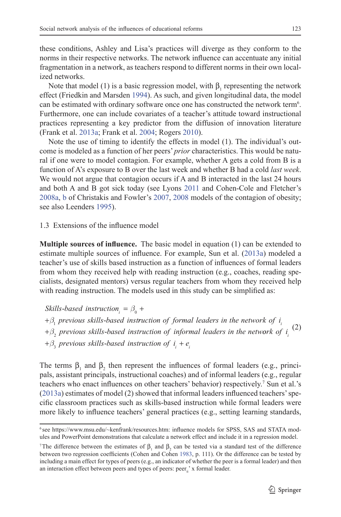these conditions, Ashley and Lisa's practices will diverge as they conform to the norms in their respective networks. The network influence can accentuate any initial fragmentation in a network, as teachers respond to different norms in their own localized networks.

Note that model (1) is a basic regression model, with  $\beta_1$  representing the network effect (Friedkin and Marsden [1994](#page-16-4)). As such, and given longitudinal data, the model can be estimated with ordinary software once one has constructed the network term<sup>6</sup>. Furthermore, one can include covariates of a teacher's attitude toward instructional practices representing a key predictor from the diffusion of innovation literature (Frank et al. [2013a;](#page-16-2) Frank et al. [2004;](#page-15-1) Rogers [2010\)](#page-16-5).

Note the use of timing to identify the effects in model (1). The individual's outcome is modeled as a function of her peers' *prior* characteristics. This would be natural if one were to model contagion. For example, whether A gets a cold from B is a function of A's exposure to B over the last week and whether B had a cold *last week*. We would not argue that contagion occurs if A and B interacted in the last 24 hours and both A and B got sick today (see Lyons [2011](#page-16-6) and Cohen-Cole and Fletcher's [2008a,](#page-15-7) [b](#page-15-8) of Christakis and Fowler's [2007](#page-15-9), [2008](#page-15-10) models of the contagion of obesity; see also Leenders [1995](#page-16-7)).

## 1.3 Extensions of the influence model

**Multiple sources of influence.** The basic model in equation (1) can be extended to estimate multiple sources of influence. For example, Sun et al. ([2013a](#page-17-1)) modeled a teacher's use of skills based instruction as a function of influences of formal leaders from whom they received help with reading instruction (e.g., coaches, reading specialists, designated mentors) versus regular teachers from whom they received help with reading instruction. The models used in this study can be simplified as:

(2) *Skills-based instruction*<sub>*i*</sub> =  $\beta$ <sub>0</sub> + *+β*<sub>1</sub> *previous skills-based instruction of formal leaders in the network of i*<sub>*i</sub>*</sub> *f <i>previous skills-based instruction of informal leaders in the network of i*  $+\beta$ <sub>3</sub> *previous skills*-based *instruction of*  $i$ <sub>*i*</sub> +  $e$ <sub>*i*</sub>

The terms  $\beta_1$  and  $\beta_2$  then represent the influences of formal leaders (e.g., principals, assistant principals, instructional coaches) and of informal leaders (e.g., regular teachers who enact influences on other teachers' behavior) respectively.<sup>7</sup> Sun et al.'s [\(2013a](#page-17-1)) estimates of model (2) showed that informal leaders influenced teachers' specific classroom practices such as skills-based instruction while formal leaders were more likely to influence teachers' general practices (e.g., setting learning standards,

<sup>6</sup> see <https://www.msu.edu/~kenfrank/resources.htm>: influence models for SPSS, SAS and STATA modules and PowerPoint demonstrations that calculate a network effect and include it in a regression model.

<sup>&</sup>lt;sup>7</sup>The difference between the estimates of  $\beta_1$  and  $\beta_2$  can be tested via a standard test of the difference between two regression coefficients (Cohen and Cohen [1983,](#page-15-11) p. 111). Or the difference can be tested by including a main effect for types of peers (e.g., an indicator of whether the peer is a formal leader) and then an interaction effect between peers and types of peers: peer $\frac{1}{ii}$ ' x formal leader.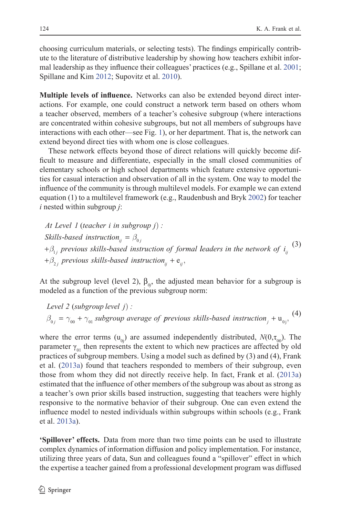choosing curriculum materials, or selecting tests). The findings empirically contribute to the literature of distributive leadership by showing how teachers exhibit informal leadership as they influence their colleagues' practices (e.g., Spillane et al. [2001;](#page-17-2) Spillane and Kim [2012;](#page-17-3) Supovitz et al. [2010\)](#page-17-4).

**Multiple levels of influence.** Networks can also be extended beyond direct interactions. For example, one could construct a network term based on others whom a teacher observed, members of a teacher's cohesive subgroup (where interactions are concentrated within cohesive subgroups, but not all members of subgroups have interactions with each other—see Fig. [1](#page-2-0)), or her department. That is, the network can extend beyond direct ties with whom one is close colleagues.

These network effects beyond those of direct relations will quickly become difficult to measure and differentiate, especially in the small closed communities of elementary schools or high school departments which feature extensive opportunities for casual interaction and observation of all in the system. One way to model the influence of the community is through multilevel models. For example we can extend equation (1) to a multilevel framework (e.g., Raudenbush and Bryk [2002](#page-16-8)) for teacher *i* nested within subgroup *j*:

 $+\beta_{1j}$  previous skills-based instruction of formal leaders in the network of  $i_j$ <sup>(3)</sup> *At Level 1 (teacher i in subgroup j) :*  $S$ *kills*-based instruction<sub><sub>ij</sub> =  $\beta_{0j}$ </sub>  $+\beta_{2j}$  previous skills-based instruction<sub>ij</sub> + e<sub>ij</sub>,

At the subgroup level (level 2),  $\beta_{0i}$ , the adjusted mean behavior for a subgroup is modeled as a function of the previous subgroup norm:

(4) *Level subgroup level j 2 :* ( )  $\beta_{0j} = \gamma_{00} + \gamma_{01}$  subgroup average of previous skills-based instruction<sub>j</sub> + u<sub>0j</sub>,

where the error terms (u<sub>0i</sub>) are assumed independently distributed,  $N(0, \tau_{00})$ . The parameter  $\gamma_{01}$  then represents the extent to which new practices are affected by old practices of subgroup members. Using a model such as defined by (3) and (4), Frank et al. ([2013a](#page-16-2)) found that teachers responded to members of their subgroup, even those from whom they did not directly receive help. In fact, Frank et al. ([2013a](#page-16-2)) estimated that the influence of other members of the subgroup was about as strong as a teacher's own prior skills based instruction, suggesting that teachers were highly responsive to the normative behavior of their subgroup. One can even extend the influence model to nested individuals within subgroups within schools (e.g., Frank et al. [2013a\)](#page-16-2).

**'Spillover' effects.** Data from more than two time points can be used to illustrate complex dynamics of information diffusion and policy implementation. For instance, utilizing three years of data, Sun and colleagues found a "spillover" effect in which the expertise a teacher gained from a professional development program was diffused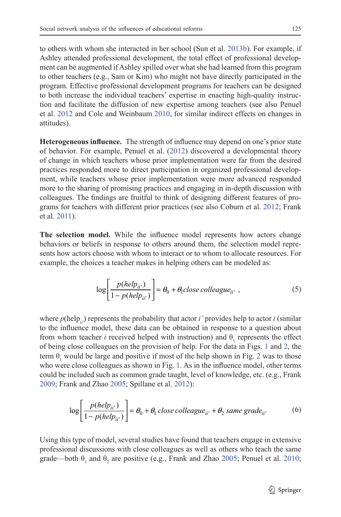to others with whom she interacted in her school (Sun et al. [2013b](#page-17-5)). For example, if Ashley attended professional development, the total effect of professional development can be augmented if Ashley spilled over what she had learned from this program to other teachers (e.g., Sam or Kim) who might not have directly participated in the program. Effective professional development programs for teachers can be designed to both increase the individual teachers' expertise in enacting high-quality instruction and facilitate the diffusion of new expertise among teachers (see also Penuel et al. [2012](#page-16-9) and Cole and Weinbaum [2010](#page-15-12), for similar indirect effects on changes in attitudes).

**Heterogeneous influence.** The strength of influence may depend on one's prior state of behavior. For example, Penuel et al. ([2012\)](#page-16-9) discovered a developmental theory of change in which teachers whose prior implementation were far from the desired practices responded more to direct participation in organized professional development, while teachers whose prior implementation were more advanced responded more to the sharing of promising practices and engaging in in-depth discussion with colleagues. The findings are fruitful to think of designing different features of programs for teachers with different prior practices (see also Coburn et al. [2012;](#page-15-13) Frank et al. [2011\)](#page-16-0).

**The selection model.** While the influence model represents how actors change behaviors or beliefs in response to others around them, the selection model represents how actors choose with whom to interact or to whom to allocate resources. For example, the choices a teacher makes in helping others can be modeled as:

$$
\log \left[ \frac{p(help_{ii'})}{1 - p(help_{ii'})} \right] = \theta_0 + \theta_1 close \, colleague_{ii'}, \qquad (5)
$$

where  $p(\text{help}_{i})$  represents the probability that actor *i'* provides help to actor *i* (similar to the influence model, these data can be obtained in response to a question about from whom teacher *i* received helped with instruction) and  $\theta_1$  represents the effect of being close colleagues on the provision of help. For the data in Figs. [1](#page-2-0) and [2,](#page-3-0) the term  $\theta_1$  would be large and positive if most of the help shown in Fig. [2](#page-3-0) was to those who were close colleagues as shown in Fig. [1](#page-2-0). As in the influence model, other terms could be included such as common grade taught, level of knowledge, etc. (e.g., Frank [2009](#page-15-14); Frank and Zhao [2005](#page-15-4); Spillane et al. [2012\)](#page-17-6):

$$
\log \left[ \frac{p(help_{ii'})}{1 - p(help_{ii'})} \right] = \theta_0 + \theta_1 \text{ close colleague}_{ii'} + \theta_2 \text{ same grade}_{ii'}
$$
 (6)

Using this type of model, several studies have found that teachers engage in extensive professional discussions with close colleagues as well as others who teach the same grade—both  $\theta_1$  and  $\theta_2$  are positive (e.g., Frank and Zhao [2005;](#page-15-4) Penuel et al. [2010;](#page-16-10)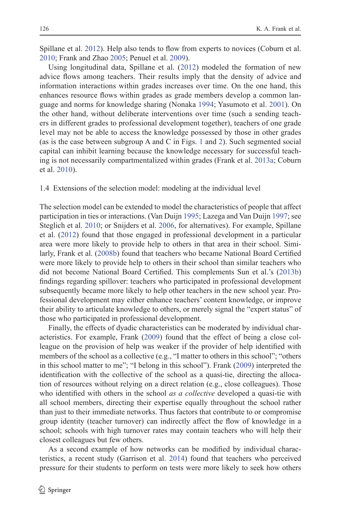Spillane et al. [2012](#page-17-6)). Help also tends to flow from experts to novices (Coburn et al. [2010](#page-15-15); Frank and Zhao [2005](#page-15-4); Penuel et al. [2009](#page-16-11)).

Using longitudinal data, Spillane et al. ([2012\)](#page-17-6) modeled the formation of new advice flows among teachers. Their results imply that the density of advice and information interactions within grades increases over time. On the one hand, this enhances resource flows within grades as grade members develop a common language and norms for knowledge sharing (Nonaka [1994;](#page-16-12) Yasumoto et al. [2001](#page-17-7)). On the other hand, without deliberate interventions over time (such a sending teachers in different grades to professional development together), teachers of one grade level may not be able to access the knowledge possessed by those in other grades (as is the case between subgroup A and C in Figs. [1](#page-2-0) and [2](#page-3-0)). Such segmented social capital can inhibit learning because the knowledge necessary for successful teaching is not necessarily compartmentalized within grades (Frank et al. [2013a;](#page-16-2) Coburn et al. [2010\)](#page-15-15).

#### 1.4 Extensions of the selection model: modeling at the individual level

The selection model can be extended to model the characteristics of people that affect participation in ties or interactions. (Van Duijn [1995](#page-17-8); Lazega and Van Duijn [1997;](#page-16-13) see Steglich et al. [2010](#page-17-9); or Snijders et al. [2006,](#page-16-14) for alternatives). For example, Spillane et al. [\(2012](#page-17-6)) found that those engaged in professional development in a particular area were more likely to provide help to others in that area in their school. Similarly, Frank et al. ([2008b](#page-15-16)) found that teachers who became National Board Certified were more likely to provide help to others in their school than similar teachers who did not become National Board Certified. This complements Sun et al.'s ([2013b](#page-17-5)) findings regarding spillover: teachers who participated in professional development subsequently became more likely to help other teachers in the new school year. Professional development may either enhance teachers' content knowledge, or improve their ability to articulate knowledge to others, or merely signal the "expert status" of those who participated in professional development.

Finally, the effects of dyadic characteristics can be moderated by individual characteristics. For example, Frank ([2009\)](#page-15-14) found that the effect of being a close colleague on the provision of help was weaker if the provider of help identified with members of the school as a collective (e.g., "I matter to others in this school"; "others in this school matter to me"; "I belong in this school"). Frank [\(2009](#page-15-14)) interpreted the identification with the collective of the school as a quasi-tie, directing the allocation of resources without relying on a direct relation (e.g., close colleagues). Those who identified with others in the school *as a collective* developed a quasi-tie with all school members, directing their expertise equally throughout the school rather than just to their immediate networks. Thus factors that contribute to or compromise group identity (teacher turnover) can indirectly affect the flow of knowledge in a school; schools with high turnover rates may contain teachers who will help their closest colleagues but few others.

As a second example of how networks can be modified by individual characteristics, a recent study (Garrison et al. [2014](#page-16-15)) found that teachers who perceived pressure for their students to perform on tests were more likely to seek how others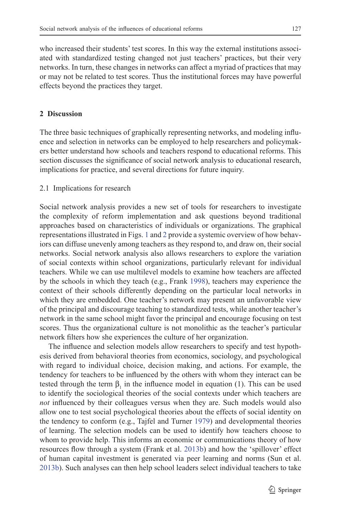who increased their students' test scores. In this way the external institutions associated with standardized testing changed not just teachers' practices, but their very networks. In turn, these changes in networks can affect a myriad of practices that may or may not be related to test scores. Thus the institutional forces may have powerful effects beyond the practices they target.

## **2 Discussion**

The three basic techniques of graphically representing networks, and modeling influence and selection in networks can be employed to help researchers and policymakers better understand how schools and teachers respond to educational reforms. This section discusses the significance of social network analysis to educational research, implications for practice, and several directions for future inquiry.

### 2.1 Implications for research

Social network analysis provides a new set of tools for researchers to investigate the complexity of reform implementation and ask questions beyond traditional approaches based on characteristics of individuals or organizations. The graphical representations illustrated in Figs. [1](#page-2-0) and [2](#page-3-0) provide a systemic overview of how behaviors can diffuse unevenly among teachers as they respond to, and draw on, their social networks. Social network analysis also allows researchers to explore the variation of social contexts within school organizations, particularly relevant for individual teachers. While we can use multilevel models to examine how teachers are affected by the schools in which they teach (e.g., Frank [1998\)](#page-15-3), teachers may experience the context of their schools differently depending on the particular local networks in which they are embedded. One teacher's network may present an unfavorable view of the principal and discourage teaching to standardized tests, while another teacher's network in the same school might favor the principal and encourage focusing on test scores. Thus the organizational culture is not monolithic as the teacher's particular network filters how she experiences the culture of her organization.

The influence and selection models allow researchers to specify and test hypothesis derived from behavioral theories from economics, sociology, and psychological with regard to individual choice, decision making, and actions. For example, the tendency for teachers to be influenced by the others with whom they interact can be tested through the term  $\beta_1$  in the influence model in equation (1). This can be used to identify the sociological theories of the social contexts under which teachers are *not* influenced by their colleagues versus when they are. Such models would also allow one to test social psychological theories about the effects of social identity on the tendency to conform (e.g., Tajfel and Turner [1979\)](#page-17-10) and developmental theories of learning. The selection models can be used to identify how teachers choose to whom to provide help. This informs an economic or communications theory of how resources flow through a system (Frank et al. [2013b](#page-16-16)) and how the 'spillover' effect of human capital investment is generated via peer learning and norms (Sun et al. [2013b](#page-17-5)). Such analyses can then help school leaders select individual teachers to take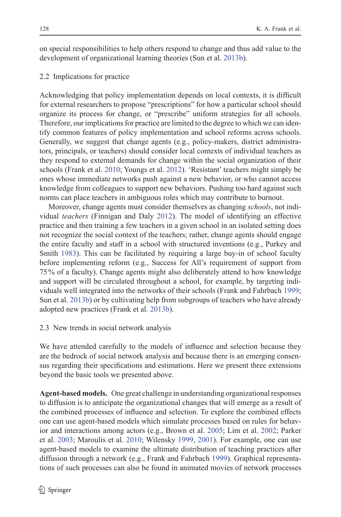on special responsibilities to help others respond to change and thus add value to the development of organizational learning theories (Sun et al. [2013b](#page-17-5)).

# 2.2 Implications for practice

Acknowledging that policy implementation depends on local contexts, it is difficult for external researchers to propose "prescriptions" for how a particular school should organize its process for change, or "prescribe" uniform strategies for all schools. Therefore, our implications for practice are limited to the degree to which we can identify common features of policy implementation and school reforms across schools. Generally, we suggest that change agents (e.g., policy-makers, district administrators, principals, or teachers) should consider local contexts of individual teachers as they respond to external demands for change within the social organization of their schools (Frank et al. [2010;](#page-16-17) Youngs et al. [2012](#page-17-11)). 'Resistant' teachers might simply be ones whose immediate networks push against a new behavior, or who cannot access knowledge from colleagues to support new behaviors. Pushing too hard against such norms can place teachers in ambiguous roles which may contribute to burnout.

Moreover, change agents must consider themselves as changing *schools*, not individual *teachers* (Finnigan and Daly [2012](#page-15-17)). The model of identifying an effective practice and then training a few teachers in a given school in an isolated setting does not recognize the social context of the teachers; rather, change agents should engage the entire faculty and staff in a school with structured inventions (e.g., Purkey and Smith [1983\)](#page-16-18). This can be facilitated by requiring a large buy-in of school faculty before implementing reform (e.g., Success for All's requirement of support from 75% of a faculty). Change agents might also deliberately attend to how knowledge and support will be circulated throughout a school, for example, by targeting individuals well integrated into the networks of their schools (Frank and Fahrbach [1999;](#page-15-18) Sun et al. [2013b](#page-17-5)) or by cultivating help from subgroups of teachers who have already adopted new practices (Frank et al. [2013b](#page-16-16)).

## 2.3 New trends in social network analysis

We have attended carefully to the models of influence and selection because they are the bedrock of social network analysis and because there is an emerging consensus regarding their specifications and estimations. Here we present three extensions beyond the basic tools we presented above.

**Agent-based models.** One great challenge in understanding organizational responses to diffusion is to anticipate the organizational changes that will emerge as a result of the combined processes of influence and selection. To explore the combined effects one can use agent-based models which simulate processes based on rules for behavior and interactions among actors (e.g., Brown et al. [2005](#page-15-19); Lim et al. [2002](#page-16-19); Parker et al. [2003](#page-16-20); Maroulis et al. [2010;](#page-16-21) Wilensky [1999](#page-17-12), [2001\)](#page-17-13). For example, one can use agent-based models to examine the ultimate distribution of teaching practices after diffusion through a network (e.g., Frank and Fahrbach [1999](#page-15-18)). Graphical representations of such processes can also be found in animated movies of network processes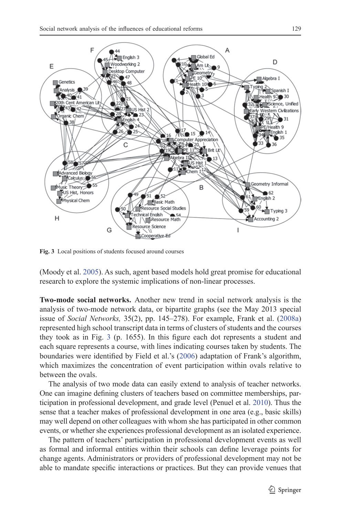<span id="page-12-0"></span>

**Fig. 3** Local positions of students focused around courses

(Moody et al. [2005](#page-16-22)). As such, agent based models hold great promise for educational research to explore the systemic implications of non-linear processes.

**Two-mode social networks.** Another new trend in social network analysis is the analysis of two-mode network data, or bipartite graphs (see the May 2013 special issue of *Social Networks,* 35(2), pp. 145–278). For example, Frank et al. ([2008a](#page-15-20)) represented high school transcript data in terms of clusters of students and the courses they took as in Fig. [3](#page-12-0) (p. 1655). In this figure each dot represents a student and each square represents a course, with lines indicating courses taken by students. The boundaries were identified by Field et al.'s ([2006](#page-15-21)) adaptation of Frank's algorithm, which maximizes the concentration of event participation within ovals relative to between the ovals.

The analysis of two mode data can easily extend to analysis of teacher networks. One can imagine defining clusters of teachers based on committee memberships, participation in professional development, and grade level (Penuel et al. [2010\)](#page-16-10). Thus the sense that a teacher makes of professional development in one area (e.g., basic skills) may well depend on other colleagues with whom she has participated in other common events, or whether she experiences professional development as an isolated experience.

The pattern of teachers' participation in professional development events as well as formal and informal entities within their schools can define leverage points for change agents. Administrators or providers of professional development may not be able to mandate specific interactions or practices. But they can provide venues that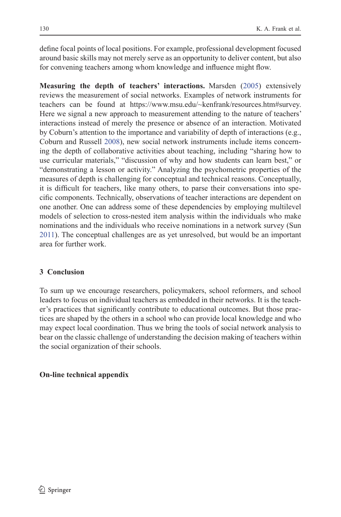define focal points of local positions. For example, professional development focused around basic skills may not merely serve as an opportunity to deliver content, but also for convening teachers among whom knowledge and influence might flow.

**Measuring the depth of teachers' interactions.** Marsden ([2005\)](#page-16-23) extensively reviews the measurement of social networks. Examples of network instruments for teachers can be found at https://www.msu.edu/~kenfrank/resources.htm#survey. Here we signal a new approach to measurement attending to the nature of teachers' interactions instead of merely the presence or absence of an interaction. Motivated by Coburn's attention to the importance and variability of depth of interactions (e.g., Coburn and Russell [2008\)](#page-15-22), new social network instruments include items concerning the depth of collaborative activities about teaching, including "sharing how to use curricular materials," "discussion of why and how students can learn best," or "demonstrating a lesson or activity." Analyzing the psychometric properties of the measures of depth is challenging for conceptual and technical reasons. Conceptually, it is difficult for teachers, like many others, to parse their conversations into specific components. Technically, observations of teacher interactions are dependent on one another. One can address some of these dependencies by employing multilevel models of selection to cross-nested item analysis within the individuals who make nominations and the individuals who receive nominations in a network survey (Sun [2011\)](#page-17-14). The conceptual challenges are as yet unresolved, but would be an important area for further work.

# **3 Conclusion**

To sum up we encourage researchers, policymakers, school reformers, and school leaders to focus on individual teachers as embedded in their networks. It is the teacher's practices that significantly contribute to educational outcomes. But those practices are shaped by the others in a school who can provide local knowledge and who may expect local coordination. Thus we bring the tools of social network analysis to bear on the classic challenge of understanding the decision making of teachers within the social organization of their schools.

# **On-line technical appendix**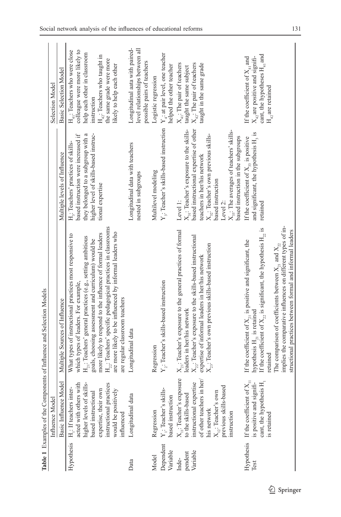|                                |                                                                                                                                                                                                                | Table 1 Examples of the Components of Influence and Selection Models                                                                                                                                                                                                                                                                                                                                                                                              |                                                                                                                                                                                                                                                                                                               |                                                                                                                                                                                                                         |
|--------------------------------|----------------------------------------------------------------------------------------------------------------------------------------------------------------------------------------------------------------|-------------------------------------------------------------------------------------------------------------------------------------------------------------------------------------------------------------------------------------------------------------------------------------------------------------------------------------------------------------------------------------------------------------------------------------------------------------------|---------------------------------------------------------------------------------------------------------------------------------------------------------------------------------------------------------------------------------------------------------------------------------------------------------------|-------------------------------------------------------------------------------------------------------------------------------------------------------------------------------------------------------------------------|
|                                | Influence Model                                                                                                                                                                                                |                                                                                                                                                                                                                                                                                                                                                                                                                                                                   |                                                                                                                                                                                                                                                                                                               | Selection Model                                                                                                                                                                                                         |
|                                | Basic Influence Model                                                                                                                                                                                          | Multiple Sources of Influence                                                                                                                                                                                                                                                                                                                                                                                                                                     | Multiple levels of Influence                                                                                                                                                                                                                                                                                  | Basic Selection Model                                                                                                                                                                                                   |
| Hypothesis                     | instructional practices<br>acted with others with<br>higher levels of skills-<br>H <sub>i</sub> : If teachers inter-<br>expertise, their own<br>would be positively<br>based instructional<br>influenced       | $H_{22}$ : Teachers' specific pedagogical practices in classrooms<br>are more likely to be influenced by informal leaders who<br>more likely to respond to the influence of formal leaders<br>What types of instructional practices most responsive to<br>H <sub>21</sub> : Teachers' general practices (e.g., setting ambitious<br>goals, choosing assessment and curriculum) would be<br>which types of leaders. For example,<br>are regular classroom teachers | they belonged to a subgroup with a<br>higher level of skills-based instruc-<br>based instruction were increased if<br>H <sub>x</sub> : Teachers' practices of skills-<br>tional expertise                                                                                                                     | H <sub>41</sub> : Teachers who were close<br>colleague were more likely to<br>help each other in classroom<br>$H_{42}$ : Teachers who taught in<br>the same grade were more<br>likely to help each other<br>instruction |
| Data                           | Longitudinal data                                                                                                                                                                                              | Longitudinal data                                                                                                                                                                                                                                                                                                                                                                                                                                                 | Longitudinal data with teachers<br>nested in subgroups                                                                                                                                                                                                                                                        | Longitudinal aata with paired-<br>level relationships between all<br>possible pairs of teachers                                                                                                                         |
| Dependent<br>Variable<br>Model | Y <sub>i</sub> : Teacher's skills-<br>based instruction<br>Regression                                                                                                                                          | Y <sub>2</sub> : Teacher's skills-based instruction<br>Regression                                                                                                                                                                                                                                                                                                                                                                                                 | $\mathbf{Y}_3$ : Teacher's skills-based instruction<br>Multilevel modeling                                                                                                                                                                                                                                    | $Y_4$ : at pair level, one teacher<br>helped the other teacher<br>Logistic regression                                                                                                                                   |
| Variable<br>pendent<br>Inde-   | X <sub>11</sub> : Teacher's exposure<br>of other teachers in her/<br>ise<br>ಸ<br>$X_{12}$ : Teacher's own<br>previous skills-base<br>instructional expert<br>to the skills-based<br>his network<br>instruction | X <sub>21</sub> : Teacher's exposure to the general practices of formal<br>$X_{22}$ : Teacher's exposure to the skills-based instructional<br>X <sub>23</sub> : Teacher's own previous skills-based instruction<br>expertise of informal leaders in her/his network<br>leaders in her/his network                                                                                                                                                                 | X <sub>31</sub> : Teacher's exposure to the skills-<br>based instructional expertise of other<br>$X_{33}$ : The averages of teachers' skills-<br>$X_{3,2}$ : Teacher's own previous skills-<br>based instruction in the subgroups<br>teachers in her/his network<br>based instruction<br>Level 1:<br>Level 2: | taught in the same grade<br>$X_{4i}$ : The pair of teachers<br>$X_{42}$ : The pair of teachers<br>taught the same subject                                                                                               |
| Test                           | $\check{\Xi}^1$<br>sH,<br>Hypothesis If the coefficient of<br>is positive and sign<br>cant, the hypothesi<br>is retained                                                                                       | implies the comparative influences on different types of in-<br>If the coefficient of $X_{22}$ is significant, the hypothesis $H_{22}$ is<br>structional practices between formal and informal leaders<br>If the coefficient of $X_{21}$ is positive and significant, the<br>The comparison of coefficients between $\mathbf{X}_{21}$ and $\mathbf{X}_{22}$<br>hypothesis H <sub>21</sub> is retained<br>etained                                                  | and significant, the hypothesis H <sub>3</sub> is<br>If the coefficient of $X_{33}$ is positive<br>retained                                                                                                                                                                                                   | cant, the hypotheses H <sub>41</sub> and<br>$X_{42}$ are positive and signifi-<br>If the coefficient of $X_{41}$ and<br>$\mathrm{H}_{42}$ are retained                                                                  |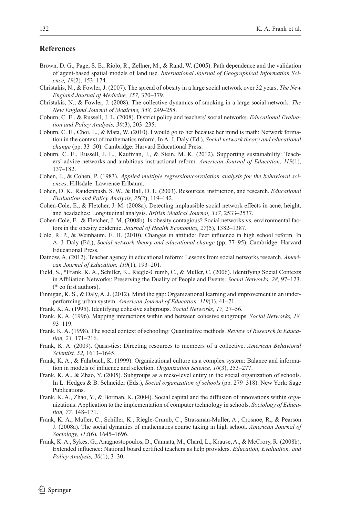## **References**

- <span id="page-15-19"></span>Brown, D. G., Page, S. E., Riolo, R., Zellner, M., & Rand, W. (2005). Path dependence and the validation of agent-based spatial models of land use. *International Journal of Geographical Information Science, 19*(2), 153–174.
- <span id="page-15-9"></span>Christakis, N., & Fowler, J. (2007). The spread of obesity in a large social network over 32 years. *The New England Journal of Medicine, 357,* 370–379.
- <span id="page-15-10"></span>Christakis, N., & Fowler, J. (2008). The collective dynamics of smoking in a large social network. *The New England Journal of Medicine, 358,* 249–258.
- <span id="page-15-22"></span>Coburn, C. E., & Russell, J. L. (2008). District policy and teachers' social networks. *Educational Evaluation and Policy Analysis, 30*(3), 203–235.
- <span id="page-15-15"></span>Coburn, C. E., Choi, L., & Mata, W. (2010). I would go to her because her mind is math: Network formation in the context of mathematics reform. In A. J. Daly (Ed.), *Social network theory and educational change* (pp. 33–50). Cambridge: Harvard Educational Press.
- <span id="page-15-13"></span>Coburn, C. E., Russell, J. L., Kaufman, J., & Stein, M. K. (2012). Supporting sustainability: Teachers' advice networks and ambitious instructional reform. *American Journal of Education, 119*(1), 137–182.
- <span id="page-15-11"></span>Cohen, J., & Cohen, P. (1983). *Applied multiple regression/correlation analysis for the behavioral sciences*. Hillsdale: Lawrence Erlbaum.
- <span id="page-15-0"></span>Cohen, D. K., Raudenbush, S. W., & Ball, D. L. (2003). Resources, instruction, and research. *Educational Evaluation and Policy Analysis, 25*(2), 119–142.
- <span id="page-15-7"></span>Cohen-Cole, E., & Fletcher, J. M. (2008a). Detecting implausible social network effects in acne, height, and headaches: Longitudinal analysis. *British Medical Journal, 337,* 2533–2537.
- <span id="page-15-8"></span>Cohen-Cole, E., & Fletcher, J. M. (2008b). Is obesity contagious? Social networks vs. environmental factors in the obesity epidemic. *Journal of Health Economics, 27*(5), 1382–1387.
- <span id="page-15-12"></span>Cole, R. P., & Weinbaum, E. H. (2010). Changes in attitude: Peer influence in high school reform. In A. J. Daly (Ed.), *Social network theory and educational change* (pp. 77–95). Cambridge: Harvard Educational Press.
- <span id="page-15-2"></span>Datnow, A. (2012). Teacher agency in educational reform: Lessons from social networks research. *American Journal of Education, 119*(1), 193–201.
- <span id="page-15-21"></span>Field, S., \*Frank, K. A., Schiller, K., Riegle-Crumb, C., & Muller, C. (2006). Identifying Social Contexts in Affiliation Networks: Preserving the Duality of People and Events. *Social Networks, 28,* 97–123. (\* co first authors).
- <span id="page-15-17"></span>Finnigan, K. S., & Daly, A. J. (2012). Mind the gap: Organizational learning and improvement in an underperforming urban system. *American Journal of Education, 119*(1), 41–71.
- <span id="page-15-5"></span>Frank, K. A. (1995). Identifying cohesive subgroups. *Social Networks, 17,* 27–56.
- <span id="page-15-6"></span>Frank, K. A. (1996). Mapping interactions within and between cohesive subgroups. *Social Networks, 18,* 93–119.
- <span id="page-15-3"></span>Frank, K. A. (1998). The social context of schooling: Quantitative methods. *Review of Research in Education, 23,* 171–216.
- <span id="page-15-14"></span>Frank, K. A. (2009). Quasi-ties: Directing resources to members of a collective. *American Behavioral Scientist, 52,* 1613–1645.
- <span id="page-15-18"></span>Frank, K. A., & Fahrbach, K. (1999). Organizational culture as a complex system: Balance and information in models of influence and selection. *Organization Science, 10*(3), 253–277.
- <span id="page-15-4"></span>Frank, K. A., & Zhao, Y. (2005). Subgroups as a meso-level entity in the social organization of schools. In L. Hedges & B. Schneider (Eds.), *Social organization of schools* (pp. 279–318). New York: Sage Publications.
- <span id="page-15-1"></span>Frank, K. A., Zhao, Y., & Borman, K. (2004). Social capital and the diffusion of innovations within organizations: Application to the implementation of computer technology in schools. *Sociology of Education, 77,* 148–171.
- <span id="page-15-20"></span>Frank, K. A., Muller, C., Schiller, K., Riegle-Crumb, C., Strassman-Muller, A., Crosnoe, R., & Pearson J. (2008a). The social dynamics of mathematics course taking in high school. *American Journal of Sociology, 113*(6), 1645–1696.
- <span id="page-15-16"></span>Frank, K. A., Sykes, G., Anagnostopoulos, D., Cannata, M., Chard, L., Krause, A., & McCrory, R. (2008b). Extended influence: National board certified teachers as help providers. *Education, Evaluation, and Policy Analysis, 30*(1), 3–30.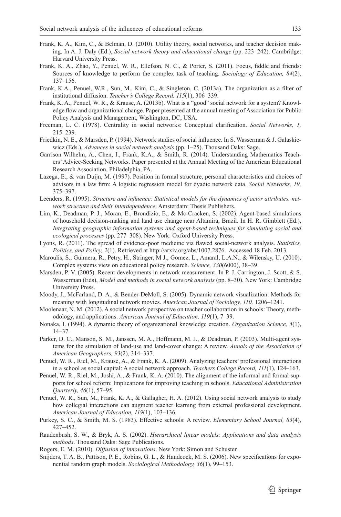- <span id="page-16-17"></span>Frank, K. A., Kim, C., & Belman, D. (2010). Utility theory, social networks, and teacher decision making. In A. J. Daly (Ed.), *Social network theory and educational change* (pp. 223–242). Cambridge: Harvard University Press.
- <span id="page-16-0"></span>Frank, K. A., Zhao, Y., Penuel, W. R., Ellefson, N. C., & Porter, S. (2011). Focus, fiddle and friends: Sources of knowledge to perform the complex task of teaching. *Sociology of Education, 84*(2), 137–156.
- <span id="page-16-2"></span>Frank, K.A., Penuel, W.R., Sun, M., Kim, C., & Singleton, C. (2013a). The organization as a filter of institutional diffusion. *Teacher's College Record. 115*(1), 306–339.
- <span id="page-16-16"></span>Frank, K. A., Penuel, W. R., & Krause, A. (2013b). What is a "good" social network for a system? Knowledge flow and organizational change. Paper presented at the annual meeting of Association for Public Policy Analysis and Management, Washington, DC, USA.
- <span id="page-16-3"></span>Freeman, L. C. (1978). Centrality in social networks: Conceptual clarification. *Social Networks, 1,* 215–239.
- <span id="page-16-4"></span>Friedkin, N. E., & Marsden, P. (1994). Network studies of social influence. In S. Wasserman & J. Galaskiewicz (Eds.), *Advances in social network analysis* (pp. 1–25). Thousand Oaks: Sage.
- <span id="page-16-15"></span>Garrison Wilhelm, A., Chen, I., Frank, K.A., & Smith, R. (2014). Understanding Mathematics Teachers' Advice-Seeking Networks. Paper presented at the Annual Meeting of the American Educational Research Association, Philadelphia, PA.
- <span id="page-16-13"></span>Lazega, E., & van Duijn, M. (1997). Position in formal structure, personal characteristics and choices of advisors in a law firm: A logistic regression model for dyadic network data. *Social Networks, 19,* 375–397.
- <span id="page-16-7"></span>Leenders, R. (1995). *Structure and influence: Statistical models for the dynamics of actor attributes, network structure and their interdependence*. Amsterdam: Thesis Publishers.
- <span id="page-16-19"></span>Lim, K., Deadman, P. J., Moran, E., Brondizio, E., & Mc-Cracken, S. (2002). Agent-based simulations of household decision-making and land use change near Altamira, Brazil. In H. R. Gimblett (Ed.), *Integrating geographic information systems and agent-based techniques for simulating social and ecological processes* (pp. 277–308). New York: Oxford University Press.
- <span id="page-16-6"></span>Lyons, R. (2011). The spread of evidence-poor medicine via flawed social-network analysis. *Statistics, Politics, and Policy, 2*(1). Retrieved at http://[arxiv.org/abs/1007.2876](http://arxiv.org/abs/1007.2876). Accessed 18 Feb. 2013.
- <span id="page-16-21"></span>Maroulis, S., Guimera, R., Petry, H., Stringer, M J., Gomez, L., Amaral, L.A.N., & Wilensky, U. (2010). Complex systems view on educational policy research. *Science, 330*(6000), 38–39.
- <span id="page-16-23"></span>Marsden, P. V. (2005). Recent developments in network measurement. In P. J. Carrington, J. Scott, & S. Wasserman (Eds), *Model and methods in social network analysis* (pp. 8–30). New York: Cambridge University Press.
- <span id="page-16-22"></span>Moody, J., McFarland, D. A., & Bender-DeMoll, S. (2005). Dynamic network visualization: Methods for meaning with longitudinal network movies. *American Journal of Sociology, 110,* 1206–1241.
- <span id="page-16-1"></span>Moolenaar, N. M. (2012). A social network perspective on teacher collaboration in schools: Theory, methodology, and applications. *American Journal of Education, 119*(1), 7–39.
- <span id="page-16-12"></span>Nonaka, I. (1994). A dynamic theory of organizational knowledge creation. *Organization Science, 5*(1), 14–37.
- <span id="page-16-20"></span>Parker, D. C., Manson, S. M., Janssen, M. A., Hoffmann, M. J., & Deadman, P. (2003). Multi-agent systems for the simulation of land-use and land-cover change: A review. *Annals of the Association of American Geographers, 93*(2), 314–337.
- <span id="page-16-11"></span>Penuel, W. R., Riel, M., Krause, A., & Frank, K. A. (2009). Analyzing teachers' professional interactions in a school as social capital: A social network approach. *Teachers College Record, 111*(1), 124–163.
- <span id="page-16-10"></span>Penuel, W. R., Riel, M., Joshi, A., & Frank, K. A. (2010). The alignment of the informal and formal supports for school reform: Implications for improving teaching in schools. *Educational Administration Quarterly, 46*(1), 57–95.
- <span id="page-16-9"></span>Penuel, W. R., Sun, M., Frank, K. A., & Gallagher, H. A. (2012). Using social network analysis to study how collegial interactions can augment teacher learning from external professional development. *American Journal of Education, 119*(1), 103–136.
- <span id="page-16-18"></span>Purkey, S. C., & Smith, M. S. (1983). Effective schools: A review. *Elementary School Journal, 83*(4), 427–452.
- <span id="page-16-8"></span>Raudenbush, S. W., & Bryk, A. S. (2002). *Hierarchical linear models: Applications and data analysis methods*. Thousand Oaks: Sage Publications.
- <span id="page-16-5"></span>Rogers, E. M. (2010). *Diffusion of innovations*. New York: Simon and Schuster.
- <span id="page-16-14"></span>Snijders, T. A. B., Pattison, P. E., Robins, G. L., & Handcock, M. S. (2006). New specifications for exponential random graph models. *Sociological Methodology, 36*(1), 99–153.